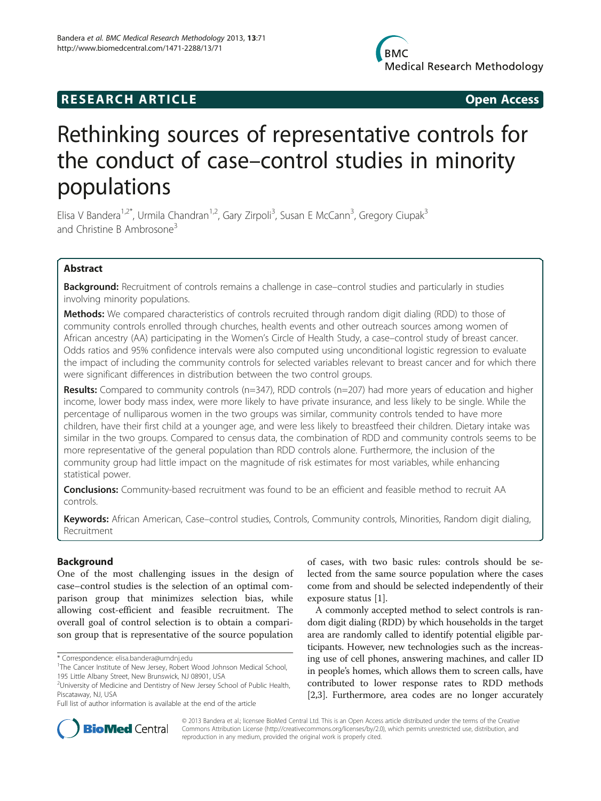## **RESEARCH ARTICLE Example 2014 CONSIDERING CONSIDERING CONSIDERING CONSIDERING CONSIDERING CONSIDERING CONSIDERING CONSIDERING CONSIDERING CONSIDERING CONSIDERING CONSIDERING CONSIDERING CONSIDERING CONSIDERING CONSIDE**

# Rethinking sources of representative controls for the conduct of case–control studies in minority populations

Elisa V Bandera<sup>1,2\*</sup>, Urmila Chandran<sup>1,2</sup>, Gary Zirpoli<sup>3</sup>, Susan E McCann<sup>3</sup>, Gregory Ciupak<sup>3</sup> and Christine B Ambrosone<sup>3</sup>

## Abstract

Background: Recruitment of controls remains a challenge in case–control studies and particularly in studies involving minority populations.

**Methods:** We compared characteristics of controls recruited through random digit dialing (RDD) to those of community controls enrolled through churches, health events and other outreach sources among women of African ancestry (AA) participating in the Women's Circle of Health Study, a case–control study of breast cancer. Odds ratios and 95% confidence intervals were also computed using unconditional logistic regression to evaluate the impact of including the community controls for selected variables relevant to breast cancer and for which there were significant differences in distribution between the two control groups.

**Results:** Compared to community controls ( $n=347$ ), RDD controls ( $n=207$ ) had more years of education and higher income, lower body mass index, were more likely to have private insurance, and less likely to be single. While the percentage of nulliparous women in the two groups was similar, community controls tended to have more children, have their first child at a younger age, and were less likely to breastfeed their children. Dietary intake was similar in the two groups. Compared to census data, the combination of RDD and community controls seems to be more representative of the general population than RDD controls alone. Furthermore, the inclusion of the community group had little impact on the magnitude of risk estimates for most variables, while enhancing statistical power.

**Conclusions:** Community-based recruitment was found to be an efficient and feasible method to recruit AA controls.

Keywords: African American, Case–control studies, Controls, Community controls, Minorities, Random digit dialing, Recruitment

## Background

One of the most challenging issues in the design of case–control studies is the selection of an optimal comparison group that minimizes selection bias, while allowing cost-efficient and feasible recruitment. The overall goal of control selection is to obtain a comparison group that is representative of the source population

of cases, with two basic rules: controls should be selected from the same source population where the cases come from and should be selected independently of their exposure status [\[1](#page-7-0)].

A commonly accepted method to select controls is random digit dialing (RDD) by which households in the target area are randomly called to identify potential eligible participants. However, new technologies such as the increasing use of cell phones, answering machines, and caller ID in people's homes, which allows them to screen calls, have contributed to lower response rates to RDD methods [[2,3\]](#page-7-0). Furthermore, area codes are no longer accurately



© 2013 Bandera et al.; licensee BioMed Central Ltd. This is an Open Access article distributed under the terms of the Creative Commons Attribution License [\(http://creativecommons.org/licenses/by/2.0\)](http://creativecommons.org/licenses/by/2.0), which permits unrestricted use, distribution, and reproduction in any medium, provided the original work is properly cited.

<sup>\*</sup> Correspondence: [elisa.bandera@umdnj.edu](mailto:elisa.bandera@umdnj.edu) <sup>1</sup>

<sup>&</sup>lt;sup>1</sup>The Cancer Institute of New Jersey, Robert Wood Johnson Medical School, 195 Little Albany Street, New Brunswick, NJ 08901, USA

<sup>&</sup>lt;sup>2</sup>University of Medicine and Dentistry of New Jersey School of Public Health, Piscataway, NJ, USA

Full list of author information is available at the end of the article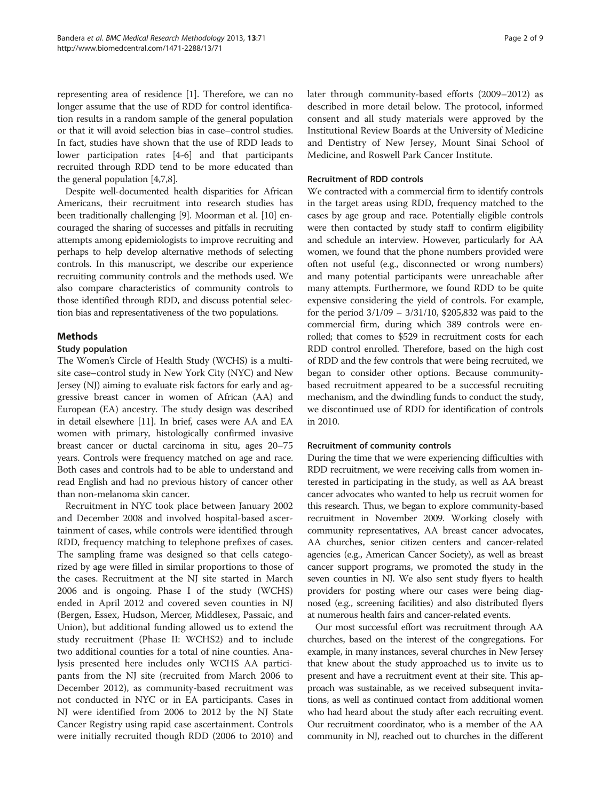representing area of residence [\[1](#page-7-0)]. Therefore, we can no longer assume that the use of RDD for control identification results in a random sample of the general population or that it will avoid selection bias in case–control studies. In fact, studies have shown that the use of RDD leads to lower participation rates [\[4-6](#page-7-0)] and that participants recruited through RDD tend to be more educated than the general population [\[4,7,8](#page-7-0)].

Despite well-documented health disparities for African Americans, their recruitment into research studies has been traditionally challenging [\[9\]](#page-7-0). Moorman et al. [[10](#page-7-0)] encouraged the sharing of successes and pitfalls in recruiting attempts among epidemiologists to improve recruiting and perhaps to help develop alternative methods of selecting controls. In this manuscript, we describe our experience recruiting community controls and the methods used. We also compare characteristics of community controls to those identified through RDD, and discuss potential selection bias and representativeness of the two populations.

## Methods

## Study population

The Women's Circle of Health Study (WCHS) is a multisite case–control study in New York City (NYC) and New Jersey (NJ) aiming to evaluate risk factors for early and aggressive breast cancer in women of African (AA) and European (EA) ancestry. The study design was described in detail elsewhere [[11](#page-7-0)]. In brief, cases were AA and EA women with primary, histologically confirmed invasive breast cancer or ductal carcinoma in situ, ages 20–75 years. Controls were frequency matched on age and race. Both cases and controls had to be able to understand and read English and had no previous history of cancer other than non-melanoma skin cancer.

Recruitment in NYC took place between January 2002 and December 2008 and involved hospital-based ascertainment of cases, while controls were identified through RDD, frequency matching to telephone prefixes of cases. The sampling frame was designed so that cells categorized by age were filled in similar proportions to those of the cases. Recruitment at the NJ site started in March 2006 and is ongoing. Phase I of the study (WCHS) ended in April 2012 and covered seven counties in NJ (Bergen, Essex, Hudson, Mercer, Middlesex, Passaic, and Union), but additional funding allowed us to extend the study recruitment (Phase II: WCHS2) and to include two additional counties for a total of nine counties. Analysis presented here includes only WCHS AA participants from the NJ site (recruited from March 2006 to December 2012), as community-based recruitment was not conducted in NYC or in EA participants. Cases in NJ were identified from 2006 to 2012 by the NJ State Cancer Registry using rapid case ascertainment. Controls were initially recruited though RDD (2006 to 2010) and

later through community-based efforts (2009–2012) as described in more detail below. The protocol, informed consent and all study materials were approved by the Institutional Review Boards at the University of Medicine and Dentistry of New Jersey, Mount Sinai School of Medicine, and Roswell Park Cancer Institute.

#### Recruitment of RDD controls

We contracted with a commercial firm to identify controls in the target areas using RDD, frequency matched to the cases by age group and race. Potentially eligible controls were then contacted by study staff to confirm eligibility and schedule an interview. However, particularly for AA women, we found that the phone numbers provided were often not useful (e.g., disconnected or wrong numbers) and many potential participants were unreachable after many attempts. Furthermore, we found RDD to be quite expensive considering the yield of controls. For example, for the period 3/1/09 – 3/31/10, \$205,832 was paid to the commercial firm, during which 389 controls were enrolled; that comes to \$529 in recruitment costs for each RDD control enrolled. Therefore, based on the high cost of RDD and the few controls that were being recruited, we began to consider other options. Because communitybased recruitment appeared to be a successful recruiting mechanism, and the dwindling funds to conduct the study, we discontinued use of RDD for identification of controls in 2010.

#### Recruitment of community controls

During the time that we were experiencing difficulties with RDD recruitment, we were receiving calls from women interested in participating in the study, as well as AA breast cancer advocates who wanted to help us recruit women for this research. Thus, we began to explore community-based recruitment in November 2009. Working closely with community representatives, AA breast cancer advocates, AA churches, senior citizen centers and cancer-related agencies (e.g., American Cancer Society), as well as breast cancer support programs, we promoted the study in the seven counties in NJ. We also sent study flyers to health providers for posting where our cases were being diagnosed (e.g., screening facilities) and also distributed flyers at numerous health fairs and cancer-related events.

Our most successful effort was recruitment through AA churches, based on the interest of the congregations. For example, in many instances, several churches in New Jersey that knew about the study approached us to invite us to present and have a recruitment event at their site. This approach was sustainable, as we received subsequent invitations, as well as continued contact from additional women who had heard about the study after each recruiting event. Our recruitment coordinator, who is a member of the AA community in NJ, reached out to churches in the different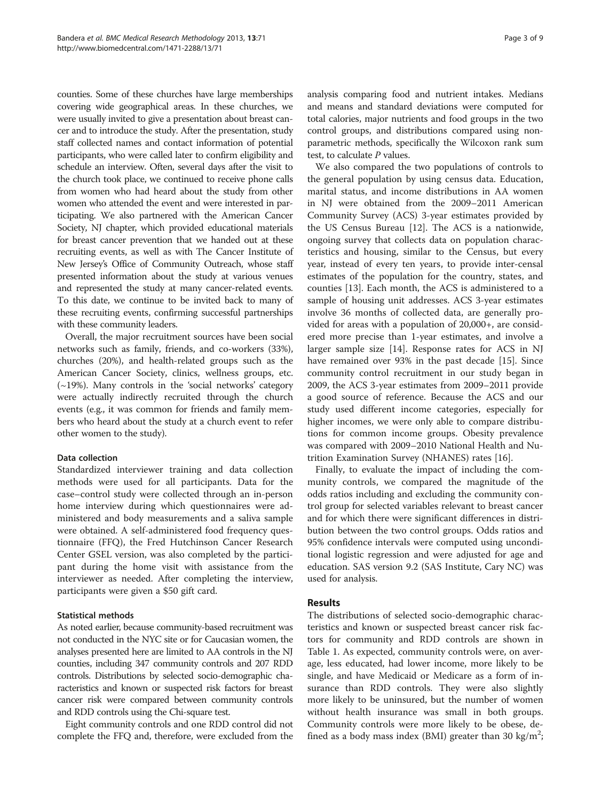counties. Some of these churches have large memberships covering wide geographical areas. In these churches, we were usually invited to give a presentation about breast cancer and to introduce the study. After the presentation, study staff collected names and contact information of potential participants, who were called later to confirm eligibility and schedule an interview. Often, several days after the visit to the church took place, we continued to receive phone calls from women who had heard about the study from other women who attended the event and were interested in participating. We also partnered with the American Cancer Society, NJ chapter, which provided educational materials for breast cancer prevention that we handed out at these recruiting events, as well as with The Cancer Institute of New Jersey's Office of Community Outreach, whose staff presented information about the study at various venues and represented the study at many cancer-related events. To this date, we continue to be invited back to many of these recruiting events, confirming successful partnerships with these community leaders.

Overall, the major recruitment sources have been social networks such as family, friends, and co-workers (33%), churches (20%), and health-related groups such as the American Cancer Society, clinics, wellness groups, etc. (~19%). Many controls in the 'social networks' category were actually indirectly recruited through the church events (e.g., it was common for friends and family members who heard about the study at a church event to refer other women to the study).

### Data collection

Standardized interviewer training and data collection methods were used for all participants. Data for the case–control study were collected through an in-person home interview during which questionnaires were administered and body measurements and a saliva sample were obtained. A self-administered food frequency questionnaire (FFQ), the Fred Hutchinson Cancer Research Center GSEL version, was also completed by the participant during the home visit with assistance from the interviewer as needed. After completing the interview, participants were given a \$50 gift card.

#### Statistical methods

As noted earlier, because community-based recruitment was not conducted in the NYC site or for Caucasian women, the analyses presented here are limited to AA controls in the NJ counties, including 347 community controls and 207 RDD controls. Distributions by selected socio-demographic characteristics and known or suspected risk factors for breast cancer risk were compared between community controls and RDD controls using the Chi-square test.

Eight community controls and one RDD control did not complete the FFQ and, therefore, were excluded from the analysis comparing food and nutrient intakes. Medians and means and standard deviations were computed for total calories, major nutrients and food groups in the two control groups, and distributions compared using nonparametric methods, specifically the Wilcoxon rank sum test, to calculate  $P$  values.

We also compared the two populations of controls to the general population by using census data. Education, marital status, and income distributions in AA women in NJ were obtained from the 2009–2011 American Community Survey (ACS) 3-year estimates provided by the US Census Bureau [[12\]](#page-7-0). The ACS is a nationwide, ongoing survey that collects data on population characteristics and housing, similar to the Census, but every year, instead of every ten years, to provide inter-censal estimates of the population for the country, states, and counties [\[13](#page-7-0)]. Each month, the ACS is administered to a sample of housing unit addresses. ACS 3-year estimates involve 36 months of collected data, are generally provided for areas with a population of 20,000+, are considered more precise than 1-year estimates, and involve a larger sample size [[14\]](#page-7-0). Response rates for ACS in NJ have remained over 93% in the past decade [[15](#page-8-0)]. Since community control recruitment in our study began in 2009, the ACS 3-year estimates from 2009–2011 provide a good source of reference. Because the ACS and our study used different income categories, especially for higher incomes, we were only able to compare distributions for common income groups. Obesity prevalence was compared with 2009–2010 National Health and Nutrition Examination Survey (NHANES) rates [\[16](#page-8-0)].

Finally, to evaluate the impact of including the community controls, we compared the magnitude of the odds ratios including and excluding the community control group for selected variables relevant to breast cancer and for which there were significant differences in distribution between the two control groups. Odds ratios and 95% confidence intervals were computed using unconditional logistic regression and were adjusted for age and education. SAS version 9.2 (SAS Institute, Cary NC) was used for analysis.

#### Results

The distributions of selected socio-demographic characteristics and known or suspected breast cancer risk factors for community and RDD controls are shown in Table [1.](#page-3-0) As expected, community controls were, on average, less educated, had lower income, more likely to be single, and have Medicaid or Medicare as a form of insurance than RDD controls. They were also slightly more likely to be uninsured, but the number of women without health insurance was small in both groups. Community controls were more likely to be obese, defined as a body mass index (BMI) greater than 30 kg/m<sup>2</sup>;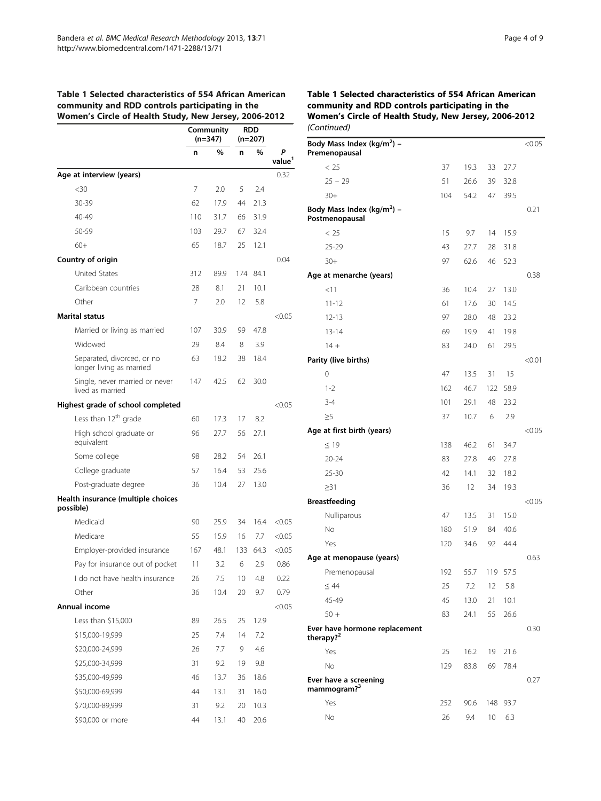## <span id="page-3-0"></span>Table 1 Selected characteristics of 554 African American community and RDD controls participating in the Women's Circle of Health Study, New Jersey, 2006-2012

|                                                        | Community<br>(n=347) |      | <b>RDD</b><br>$(n=207)$ |      |                         |
|--------------------------------------------------------|----------------------|------|-------------------------|------|-------------------------|
|                                                        | n                    | %    | n                       | %    | Ρ<br>value <sup>1</sup> |
| Age at interview (years)                               |                      |      |                         |      | 0.32                    |
| $<$ 30                                                 | 7                    | 2.0  | 5                       | 2.4  |                         |
| 30-39                                                  | 62                   | 17.9 | 44                      | 21.3 |                         |
| 40-49                                                  | 110                  | 31.7 | 66                      | 31.9 |                         |
| 50-59                                                  | 103                  | 29.7 | 67                      | 32.4 |                         |
| $60+$                                                  | 65                   | 18.7 | 25                      | 12.1 |                         |
| Country of origin                                      |                      |      |                         |      | 0.04                    |
| <b>United States</b>                                   | 312                  | 89.9 | 174                     | 84.1 |                         |
| Caribbean countries                                    | 28                   | 8.1  | 21                      | 10.1 |                         |
| Other                                                  | 7                    | 2.0  | 12                      | 5.8  |                         |
| <b>Marital status</b>                                  |                      |      |                         |      | $<$ 0.05                |
| Married or living as married                           | 107                  | 30.9 | 99                      | 47.8 |                         |
| Widowed                                                | 29                   | 8.4  | 8                       | 3.9  |                         |
| Separated, divorced, or no<br>longer living as married | 63                   | 18.2 | 38                      | 18.4 |                         |
| Single, never married or never<br>lived as married     | 147                  | 42.5 | 62                      | 30.0 |                         |
| Highest grade of school completed                      |                      |      |                         |      | < 0.05                  |
| Less than 12 <sup>th</sup> grade                       | 60                   | 17.3 | 17                      | 8.2  |                         |
| High school graduate or<br>equivalent                  | 96                   | 27.7 | 56                      | 27.1 |                         |
| Some college                                           | 98                   | 28.2 | 54                      | 26.1 |                         |
| College graduate                                       | 57                   | 16.4 | 53                      | 25.6 |                         |
| Post-graduate degree                                   | 36                   | 10.4 | 27                      | 13.0 |                         |
| Health insurance (multiple choices<br>possible)        |                      |      |                         |      |                         |
| Medicaid                                               | 90                   | 25.9 | 34                      | 16.4 | $<$ 0.05                |
| Medicare                                               | 55                   | 15.9 | 16                      | 7.7  | $<$ 0.05                |
| Employer-provided insurance                            | 167                  | 48.1 | 133                     | 64.3 | < 0.05                  |
| Pay for insurance out of pocket                        | 11                   | 3.2  | 6                       | 2.9  | 0.86                    |
| I do not have health insurance                         | 26                   | 7.5  | 10                      | 4.8  | 0.22                    |
| Other                                                  | 36                   | 10.4 | 20                      | 9.7  | 0.79                    |
| <b>Annual income</b>                                   |                      |      |                         |      | $<$ 0.05                |
| Less than \$15,000                                     | 89                   | 26.5 | 25                      | 12.9 |                         |
| \$15,000-19,999                                        | 25                   | 7.4  | 14                      | 7.2  |                         |
| \$20,000-24,999                                        | 26                   | 7.7  | 9                       | 4.6  |                         |
| \$25,000-34,999                                        | 31                   | 9.2  | 19                      | 9.8  |                         |
| \$35,000-49,999                                        | 46                   | 13.7 | 36                      | 18.6 |                         |
| \$50,000-69,999                                        | 44                   | 13.1 | 31                      | 16.0 |                         |
| \$70,000-89,999                                        | 31                   | 9.2  | 20                      | 10.3 |                         |
| \$90,000 or more                                       | 44                   | 13.1 | 40                      | 20.6 |                         |

## Table 1 Selected characteristics of 554 African American community and RDD controls participating in the Women's Circle of Health Study, New Jersey, 2006-2012 (Continued)

| Body Mass Index (kg/m <sup>2</sup> ) –<br>Premenopausal  |     |      |     |          | < 0.05 |
|----------------------------------------------------------|-----|------|-----|----------|--------|
| < 25                                                     | 37  | 19.3 | 33  | 27.7     |        |
| $25 - 29$                                                | 51  | 26.6 | 39  | 32.8     |        |
| $30+$                                                    | 104 | 54.2 | 47  | 39.5     |        |
| Body Mass Index (kg/m <sup>2</sup> ) –<br>Postmenopausal |     |      |     |          | 0.21   |
| < 25                                                     | 15  | 9.7  | 14  | 15.9     |        |
| $25 - 29$                                                | 43  | 27.7 | 28  | 31.8     |        |
| $30+$                                                    | 97  | 62.6 | 46  | 52.3     |        |
| Age at menarche (years)                                  |     |      |     |          | 0.38   |
| < 11                                                     | 36  | 10.4 | 27  | 13.0     |        |
| $11 - 12$                                                | 61  | 17.6 | 30  | 14.5     |        |
| $12 - 13$                                                | 97  | 28.0 | 48  | 23.2     |        |
| $13 - 14$                                                | 69  | 19.9 | 41  | 19.8     |        |
| $14 +$                                                   | 83  | 24.0 | 61  | 29.5     |        |
| Parity (live births)                                     |     |      |     |          | < 0.01 |
| 0                                                        | 47  | 13.5 | 31  | 15       |        |
| $1 - 2$                                                  | 162 | 46.7 | 122 | 58.9     |        |
| $3 - 4$                                                  | 101 | 29.1 | 48  | 23.2     |        |
| $\geq 5$                                                 | 37  | 10.7 | 6   | 2.9      |        |
| Age at first birth (years)                               |     |      |     |          | < 0.05 |
| $\leq 19$                                                | 138 | 46.2 | 61  | 34.7     |        |
| $20 - 24$                                                | 83  | 27.8 | 49  | 27.8     |        |
| $25 - 30$                                                | 42  | 14.1 | 32  | 18.2     |        |
| $\geq$ 31                                                | 36  | 12   | 34  | 19.3     |        |
| <b>Breastfeeding</b>                                     |     |      |     |          | < 0.05 |
| Nulliparous                                              | 47  | 13.5 | 31  | 15.0     |        |
| No                                                       | 180 | 51.9 | 84  | 40.6     |        |
| Yes                                                      | 120 | 34.6 | 92  | 44.4     |        |
| Age at menopause (years)                                 |     |      |     |          | 0.63   |
| Premenopausal                                            | 192 | 55.7 |     | 119 57.5 |        |
| $\leq 44$                                                | 25  | 7.2  | 12  | 5.8      |        |
| 45-49                                                    | 45  | 13.0 | 21  | 10.1     |        |
| $50 +$                                                   | 83  | 24.1 | 55  | 26.6     |        |
| Ever have hormone replacement<br>therapy? <sup>2</sup>   |     |      |     |          | 0.30   |
| Yes                                                      | 25  | 16.2 | 19  | 21.6     |        |
| No                                                       | 129 | 83.8 | 69  | 78.4     |        |
| Ever have a screening<br>mammogram? <sup>3</sup>         |     |      |     |          | 0.27   |
| Yes                                                      | 252 | 90.6 | 148 | 93.7     |        |
| No                                                       | 26  | 9.4  | 10  | 6.3      |        |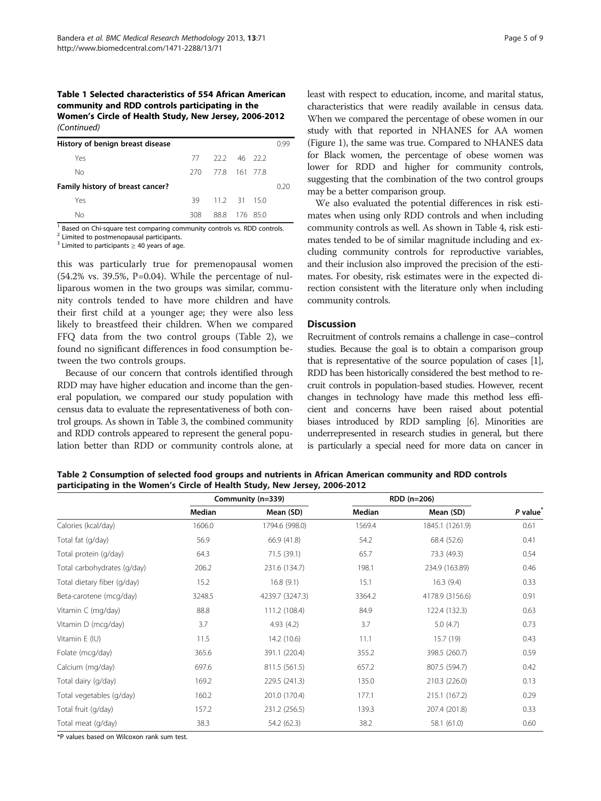### Table 1 Selected characteristics of 554 African American community and RDD controls participating in the Women's Circle of Health Study, New Jersey, 2006-2012 (Continued)

| History of benign breast disease |     |                   |          | በ 99 |
|----------------------------------|-----|-------------------|----------|------|
| Yes                              |     | 77 22.2 46 22.2   |          |      |
| No                               |     | 270 77.8 161 77.8 |          |      |
| Family history of breast cancer? |     |                   |          | 0.20 |
| Yes                              |     | 39 11.2 31 15.0   |          |      |
| Nο                               | 308 | 88.8              | 176 85.0 |      |

<sup>1</sup> Based on Chi-square test comparing community controls vs. RDD controls.

<sup>2</sup> Limited to postmenopausal participants.

 $3$  Limited to participants  $\geq 40$  years of age.

this was particularly true for premenopausal women  $(54.2\% \text{ vs. } 39.5\%, \text{ P=0.04}).$  While the percentage of nulliparous women in the two groups was similar, community controls tended to have more children and have their first child at a younger age; they were also less likely to breastfeed their children. When we compared FFQ data from the two control groups (Table 2), we found no significant differences in food consumption between the two controls groups.

Because of our concern that controls identified through RDD may have higher education and income than the general population, we compared our study population with census data to evaluate the representativeness of both control groups. As shown in Table [3](#page-5-0), the combined community and RDD controls appeared to represent the general population better than RDD or community controls alone, at

least with respect to education, income, and marital status, characteristics that were readily available in census data. When we compared the percentage of obese women in our study with that reported in NHANES for AA women (Figure [1](#page-5-0)), the same was true. Compared to NHANES data for Black women, the percentage of obese women was lower for RDD and higher for community controls, suggesting that the combination of the two control groups may be a better comparison group.

We also evaluated the potential differences in risk estimates when using only RDD controls and when including community controls as well. As shown in Table [4,](#page-6-0) risk estimates tended to be of similar magnitude including and excluding community controls for reproductive variables, and their inclusion also improved the precision of the estimates. For obesity, risk estimates were in the expected direction consistent with the literature only when including community controls.

## Discussion

Recruitment of controls remains a challenge in case–control studies. Because the goal is to obtain a comparison group that is representative of the source population of cases [\[1](#page-7-0)], RDD has been historically considered the best method to recruit controls in population-based studies. However, recent changes in technology have made this method less efficient and concerns have been raised about potential biases introduced by RDD sampling [\[6](#page-7-0)]. Minorities are underrepresented in research studies in general, but there is particularly a special need for more data on cancer in

Table 2 Consumption of selected food groups and nutrients in African American community and RDD controls participating in the Women's Circle of Health Study, New Jersey, 2006-2012

|                             |        | Community (n=339) | RDD (n=206) |                 |               |
|-----------------------------|--------|-------------------|-------------|-----------------|---------------|
|                             | Median | Mean (SD)         | Median      | Mean (SD)       | $P$ value $*$ |
| Calories (kcal/day)         | 1606.0 | 1794.6 (998.0)    | 1569.4      | 1845.1 (1261.9) | 0.61          |
| Total fat (g/day)           | 56.9   | 66.9 (41.8)       | 54.2        | 68.4 (52.6)     | 0.41          |
| Total protein (g/day)       | 64.3   | 71.5 (39.1)       | 65.7        | 73.3 (49.3)     | 0.54          |
| Total carbohydrates (g/day) | 206.2  | 231.6 (134.7)     | 198.1       | 234.9 (163.89)  | 0.46          |
| Total dietary fiber (g/day) | 15.2   | 16.8(9.1)         | 15.1        | 16.3(9.4)       | 0.33          |
| Beta-carotene (mcg/day)     | 3248.5 | 4239.7 (3247.3)   | 3364.2      | 4178.9 (3156.6) | 0.91          |
| Vitamin C (mg/day)          | 88.8   | 111.2 (108.4)     | 84.9        | 122.4 (132.3)   | 0.63          |
| Vitamin D (mcg/day)         | 3.7    | 4.93(4.2)         | 3.7         | 5.0(4.7)        | 0.73          |
| Vitamin E (IU)              | 11.5   | 14.2 (10.6)       | 11.1        | 15.7(19)        | 0.43          |
| Folate (mcg/day)            | 365.6  | 391.1 (220.4)     | 355.2       | 398.5 (260.7)   | 0.59          |
| Calcium (mg/day)            | 697.6  | 811.5 (561.5)     | 657.2       | 807.5 (594.7)   | 0.42          |
| Total dairy (g/day)         | 169.2  | 229.5 (241.3)     | 135.0       | 210.3 (226.0)   | 0.13          |
| Total vegetables (g/day)    | 160.2  | 201.0 (170.4)     | 177.1       | 215.1 (167.2)   | 0.29          |
| Total fruit (g/day)         | 157.2  | 231.2 (256.5)     | 139.3       | 207.4 (201.8)   | 0.33          |
| Total meat (g/day)          | 38.3   | 54.2 (62.3)       | 38.2        | 58.1 (61.0)     | 0.60          |

\*P values based on Wilcoxon rank sum test.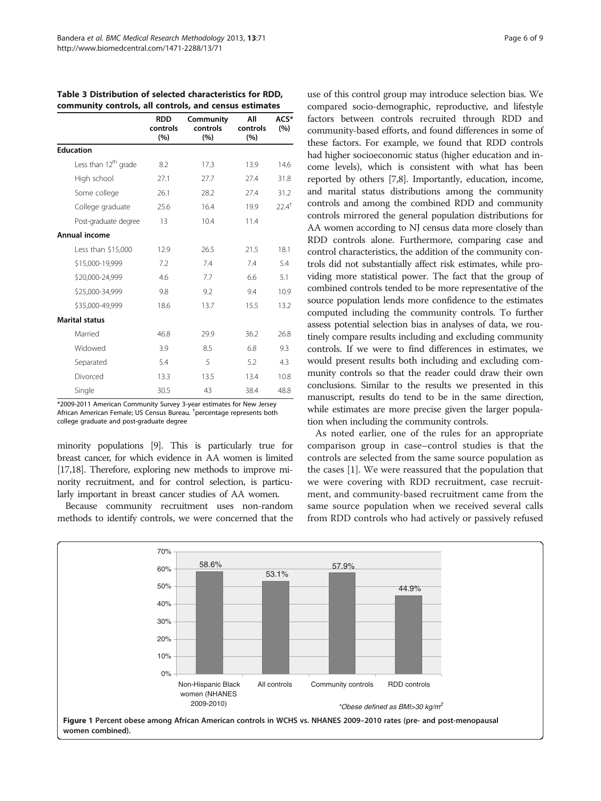|                                  | <b>RDD</b><br>controls<br>(%) | Community<br>controls<br>(%) | All<br>controls<br>(%) | ACS*<br>(%) |
|----------------------------------|-------------------------------|------------------------------|------------------------|-------------|
| <b>Education</b>                 |                               |                              |                        |             |
| Less than 12 <sup>th</sup> grade | 8.2                           | 17.3                         | 13.9                   | 14.6        |
| High school                      | 27.1                          | 27.7                         | 27.4                   | 31.8        |
| Some college                     | 26.1                          | 28.2                         | 27.4                   | 31.2        |
| College graduate                 | 25.6                          | 16.4                         | 19.9                   | $22.4^{+}$  |
| Post-graduate degree             | 13                            | 10.4                         | 11.4                   |             |
| Annual income                    |                               |                              |                        |             |
| Less than $$15,000$              | 12.9                          | 26.5                         | 21.5                   | 18.1        |
| \$15,000-19,999                  | 7.2                           | 7.4                          | 7.4                    | 5.4         |
| \$20,000-24,999                  | 4.6                           | 7.7                          | 6.6                    | 5.1         |
| \$25,000-34,999                  | 9.8                           | 9.2                          | 9.4                    | 10.9        |
| \$35,000-49,999                  | 18.6                          | 13.7                         | 15.5                   | 13.2        |
| <b>Marital status</b>            |                               |                              |                        |             |
| Married                          | 46.8                          | 29.9                         | 36.2                   | 26.8        |
| Widowed                          | 3.9                           | 8.5                          | 6.8                    | 9.3         |
| Separated                        | 5.4                           | 5                            | 5.2                    | 4.3         |
| Divorced                         | 13.3                          | 13.5                         | 13.4                   | 10.8        |
| Single                           | 30.5                          | 43                           | 38.4                   | 48.8        |

<span id="page-5-0"></span>Table 3 Distribution of selected characteristics for RDD, community controls, all controls, and census estimates

\*2009-2011 American Community Survey 3-year estimates for New Jersey African American Female; US Census Bureau. † percentage represents both college graduate and post-graduate degree

minority populations [\[9\]](#page-7-0). This is particularly true for breast cancer, for which evidence in AA women is limited [[17,18](#page-8-0)]. Therefore, exploring new methods to improve minority recruitment, and for control selection, is particularly important in breast cancer studies of AA women.

Because community recruitment uses non-random methods to identify controls, we were concerned that the

use of this control group may introduce selection bias. We compared socio-demographic, reproductive, and lifestyle factors between controls recruited through RDD and community-based efforts, and found differences in some of these factors. For example, we found that RDD controls had higher socioeconomic status (higher education and income levels), which is consistent with what has been reported by others [\[7,8\]](#page-7-0). Importantly, education, income, and marital status distributions among the community controls and among the combined RDD and community controls mirrored the general population distributions for AA women according to NJ census data more closely than RDD controls alone. Furthermore, comparing case and control characteristics, the addition of the community controls did not substantially affect risk estimates, while providing more statistical power. The fact that the group of combined controls tended to be more representative of the source population lends more confidence to the estimates computed including the community controls. To further assess potential selection bias in analyses of data, we routinely compare results including and excluding community controls. If we were to find differences in estimates, we would present results both including and excluding community controls so that the reader could draw their own conclusions. Similar to the results we presented in this manuscript, results do tend to be in the same direction, while estimates are more precise given the larger population when including the community controls.

As noted earlier, one of the rules for an appropriate comparison group in case–control studies is that the controls are selected from the same source population as the cases [\[1](#page-7-0)]. We were reassured that the population that we were covering with RDD recruitment, case recruitment, and community-based recruitment came from the same source population when we received several calls from RDD controls who had actively or passively refused

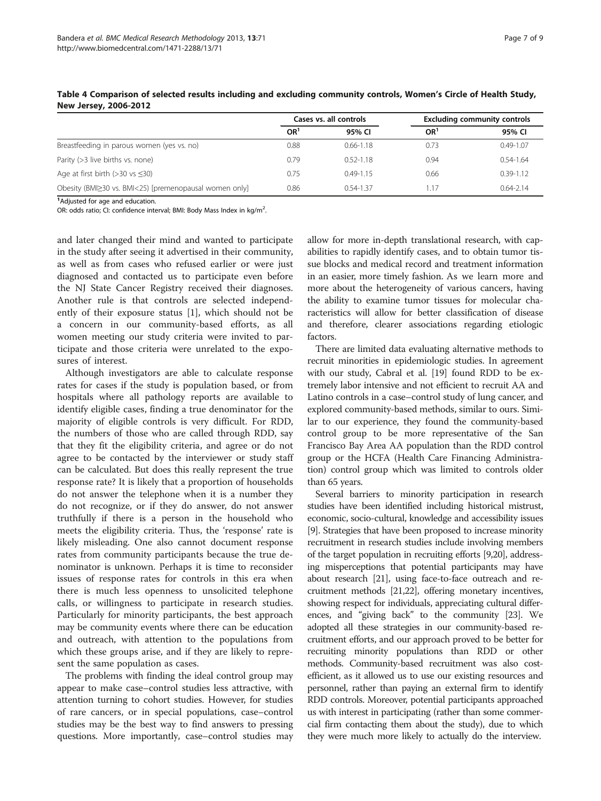|                                                        | Cases vs. all controls |               | <b>Excluding community controls</b> |               |
|--------------------------------------------------------|------------------------|---------------|-------------------------------------|---------------|
|                                                        | OR <sup>1</sup>        | 95% CI        | OR <sup>1</sup>                     | 95% CI        |
| Breastfeeding in parous women (yes vs. no)             | 0.88                   | $0.66 - 1.18$ | 0.73                                | $0.49 - 1.07$ |
| Parity (>3 live births vs. none)                       | 0.79                   | $0.52 - 1.18$ | 0.94                                | $0.54 - 1.64$ |
| Age at first birth $(>30 \text{ vs } \leq 30)$         | 0.75                   | $0.49 - 1.15$ | 0.66                                | $0.39 - 1.12$ |
| Obesity (BMI≥30 vs. BMI<25) [premenopausal women only] | 0.86                   | $0.54 - 1.37$ | 1.17                                | $0.64 - 2.14$ |

<span id="page-6-0"></span>Table 4 Comparison of selected results including and excluding community controls, Women's Circle of Health Study, New Jersey, 2006-2012

<sup>1</sup>Adjusted for age and education.

OR: odds ratio; CI: confidence interval; BMI: Body Mass Index in kg/m<sup>2</sup>. .

and later changed their mind and wanted to participate in the study after seeing it advertised in their community, as well as from cases who refused earlier or were just diagnosed and contacted us to participate even before the NJ State Cancer Registry received their diagnoses. Another rule is that controls are selected independently of their exposure status [[1](#page-7-0)], which should not be a concern in our community-based efforts, as all women meeting our study criteria were invited to participate and those criteria were unrelated to the exposures of interest.

Although investigators are able to calculate response rates for cases if the study is population based, or from hospitals where all pathology reports are available to identify eligible cases, finding a true denominator for the majority of eligible controls is very difficult. For RDD, the numbers of those who are called through RDD, say that they fit the eligibility criteria, and agree or do not agree to be contacted by the interviewer or study staff can be calculated. But does this really represent the true response rate? It is likely that a proportion of households do not answer the telephone when it is a number they do not recognize, or if they do answer, do not answer truthfully if there is a person in the household who meets the eligibility criteria. Thus, the 'response' rate is likely misleading. One also cannot document response rates from community participants because the true denominator is unknown. Perhaps it is time to reconsider issues of response rates for controls in this era when there is much less openness to unsolicited telephone calls, or willingness to participate in research studies. Particularly for minority participants, the best approach may be community events where there can be education and outreach, with attention to the populations from which these groups arise, and if they are likely to represent the same population as cases.

The problems with finding the ideal control group may appear to make case–control studies less attractive, with attention turning to cohort studies. However, for studies of rare cancers, or in special populations, case–control studies may be the best way to find answers to pressing questions. More importantly, case–control studies may

allow for more in-depth translational research, with capabilities to rapidly identify cases, and to obtain tumor tissue blocks and medical record and treatment information in an easier, more timely fashion. As we learn more and more about the heterogeneity of various cancers, having the ability to examine tumor tissues for molecular characteristics will allow for better classification of disease and therefore, clearer associations regarding etiologic factors.

There are limited data evaluating alternative methods to recruit minorities in epidemiologic studies. In agreement with our study, Cabral et al. [[19](#page-8-0)] found RDD to be extremely labor intensive and not efficient to recruit AA and Latino controls in a case–control study of lung cancer, and explored community-based methods, similar to ours. Similar to our experience, they found the community-based control group to be more representative of the San Francisco Bay Area AA population than the RDD control group or the HCFA (Health Care Financing Administration) control group which was limited to controls older than 65 years.

Several barriers to minority participation in research studies have been identified including historical mistrust, economic, socio-cultural, knowledge and accessibility issues [[9](#page-7-0)]. Strategies that have been proposed to increase minority recruitment in research studies include involving members of the target population in recruiting efforts [\[9,](#page-7-0)[20](#page-8-0)], addressing misperceptions that potential participants may have about research [[21\]](#page-8-0), using face-to-face outreach and recruitment methods [[21,22\]](#page-8-0), offering monetary incentives, showing respect for individuals, appreciating cultural differences, and "giving back" to the community [[23](#page-8-0)]. We adopted all these strategies in our community-based recruitment efforts, and our approach proved to be better for recruiting minority populations than RDD or other methods. Community-based recruitment was also costefficient, as it allowed us to use our existing resources and personnel, rather than paying an external firm to identify RDD controls. Moreover, potential participants approached us with interest in participating (rather than some commercial firm contacting them about the study), due to which they were much more likely to actually do the interview.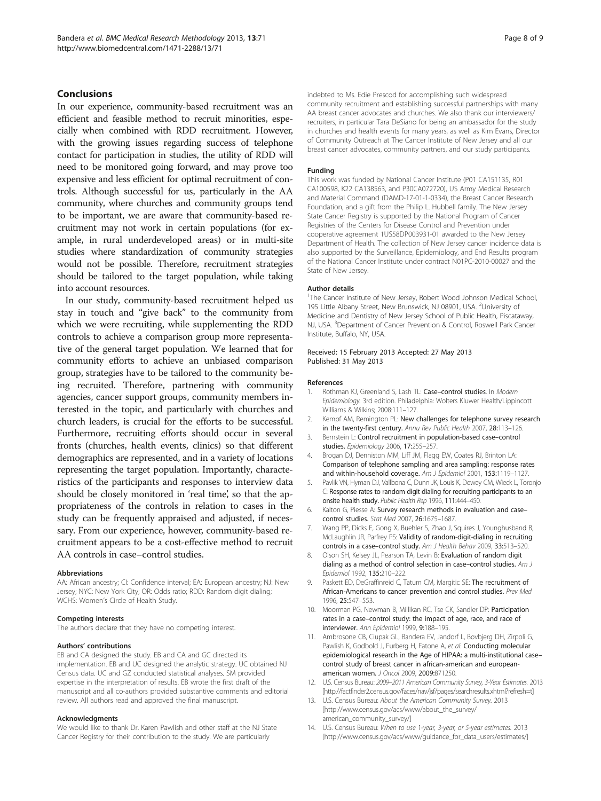## <span id="page-7-0"></span>Conclusions

In our experience, community-based recruitment was an efficient and feasible method to recruit minorities, especially when combined with RDD recruitment. However, with the growing issues regarding success of telephone contact for participation in studies, the utility of RDD will need to be monitored going forward, and may prove too expensive and less efficient for optimal recruitment of controls. Although successful for us, particularly in the AA community, where churches and community groups tend to be important, we are aware that community-based recruitment may not work in certain populations (for example, in rural underdeveloped areas) or in multi-site studies where standardization of community strategies would not be possible. Therefore, recruitment strategies should be tailored to the target population, while taking into account resources.

In our study, community-based recruitment helped us stay in touch and "give back" to the community from which we were recruiting, while supplementing the RDD controls to achieve a comparison group more representative of the general target population. We learned that for community efforts to achieve an unbiased comparison group, strategies have to be tailored to the community being recruited. Therefore, partnering with community agencies, cancer support groups, community members interested in the topic, and particularly with churches and church leaders, is crucial for the efforts to be successful. Furthermore, recruiting efforts should occur in several fronts (churches, health events, clinics) so that different demographics are represented, and in a variety of locations representing the target population. Importantly, characteristics of the participants and responses to interview data should be closely monitored in 'real time', so that the appropriateness of the controls in relation to cases in the study can be frequently appraised and adjusted, if necessary. From our experience, however, community-based recruitment appears to be a cost-effective method to recruit AA controls in case–control studies.

#### Abbreviations

AA: African ancestry; CI: Confidence interval; EA: European ancestry; NJ: New Jersey; NYC: New York City; OR: Odds ratio; RDD: Random digit dialing; WCHS: Women's Circle of Health Study.

#### Competing interests

The authors declare that they have no competing interest.

#### Authors' contributions

EB and CA designed the study. EB and CA and GC directed its implementation. EB and UC designed the analytic strategy. UC obtained NJ Census data. UC and GZ conducted statistical analyses. SM provided expertise in the interpretation of results. EB wrote the first draft of the manuscript and all co-authors provided substantive comments and editorial review. All authors read and approved the final manuscript.

#### Acknowledgments

We would like to thank Dr. Karen Pawlish and other staff at the NJ State Cancer Registry for their contribution to the study. We are particularly

indebted to Ms. Edie Prescod for accomplishing such widespread community recruitment and establishing successful partnerships with many AA breast cancer advocates and churches. We also thank our interviewers/ recruiters, in particular Tara DeSiano for being an ambassador for the study in churches and health events for many years, as well as Kim Evans, Director of Community Outreach at The Cancer Institute of New Jersey and all our breast cancer advocates, community partners, and our study participants.

#### Funding

This work was funded by National Cancer Institute (P01 CA151135, R01 CA100598, K22 CA138563, and P30CA072720), US Army Medical Research and Material Command (DAMD-17-01-1-0334), the Breast Cancer Research Foundation, and a gift from the Philip L. Hubbell family. The New Jersey State Cancer Registry is supported by the National Program of Cancer Registries of the Centers for Disease Control and Prevention under cooperative agreement 1US58DP003931-01 awarded to the New Jersey Department of Health. The collection of New Jersey cancer incidence data is also supported by the Surveillance, Epidemiology, and End Results program of the National Cancer Institute under contract N01PC-2010-00027 and the State of New Jersey.

#### Author details

<sup>1</sup>The Cancer Institute of New Jersey, Robert Wood Johnson Medical School, 195 Little Albany Street, New Brunswick, NJ 08901, USA. <sup>2</sup>University of Medicine and Dentistry of New Jersey School of Public Health, Piscataway, NJ, USA. <sup>3</sup>Department of Cancer Prevention & Control, Roswell Park Cancer Institute, Buffalo, NY, USA.

#### Received: 15 February 2013 Accepted: 27 May 2013 Published: 31 May 2013

#### References

- 1. Rothman KJ, Greenland S, Lash TL: Case-control studies. In Modern Epidemiology. 3rd edition. Philadelphia: Wolters Kluwer Health/Lippincott Williams & Wilkins; 2008:111–127.
- 2. Kempf AM, Remington PL: New challenges for telephone survey research in the twenty-first century. Annu Rev Public Health 2007, 28:113–126.
- 3. Bernstein L: Control recruitment in population-based case–control studies. Epidemiology 2006, 17:255–257.
- 4. Brogan DJ, Denniston MM, Liff JM, Flagg EW, Coates RJ, Brinton LA: Comparison of telephone sampling and area sampling: response rates and within-household coverage. Am J Epidemiol 2001, 153:1119–1127.
- 5. Pavlik VN, Hyman DJ, Vallbona C, Dunn JK, Louis K, Dewey CM, Wieck L, Toronjo C: Response rates to random digit dialing for recruiting participants to an onsite health study. Public Health Rep 1996, 111:444–450.
- 6. Kalton G, Piesse A: Survey research methods in evaluation and case– control studies. Stat Med 2007, 26:1675–1687.
- 7. Wang PP, Dicks E, Gong X, Buehler S, Zhao J, Squires J, Younghusband B, McLaughlin JR, Parfrey PS: Validity of random-digit-dialing in recruiting controls in a case–control study. Am J Health Behav 2009, 33:513–520.
- 8. Olson SH, Kelsey JL, Pearson TA, Levin B: Evaluation of random digit dialing as a method of control selection in case–control studies. Am J Epidemiol 1992, 135:210–222.
- 9. Paskett ED, DeGraffinreid C, Tatum CM, Margitic SE: The recruitment of African-Americans to cancer prevention and control studies. Prev Med 1996, 25:547–553.
- 10. Moorman PG, Newman B, Millikan RC, Tse CK, Sandler DP: Participation rates in a case–control study: the impact of age, race, and race of interviewer. Ann Epidemiol 1999, 9:188–195.
- 11. Ambrosone CB, Ciupak GL, Bandera EV, Jandorf L, Bovbjerg DH, Zirpoli G, Pawlish K, Godbold J, Furberg H, Fatone A, et al: Conducting molecular epidemiological research in the Age of HIPAA: a multi-institutional case– control study of breast cancer in african-american and europeanamerican women. J Oncol 2009, 2009:871250.
- 12. U.S. Census Bureau: 2009–2011 American Community Survey, 3-Year Estimates. 2013 [\[http://factfinder2.census.gov/faces/nav/jsf/pages/searchresults.xhtml?refresh=t\]](http://factfinder2.census.gov/faces/nav/jsf/pages/searchresults.xhtml?refresh=t)
- 13. U.S. Census Bureau: About the American Community Survey. 2013 [[http://www.census.gov/acs/www/about\\_the\\_survey/](http://www.census.gov/acs/www/about_the_survey/american_community_survey/) [american\\_community\\_survey/](http://www.census.gov/acs/www/about_the_survey/american_community_survey/)]
- 14. U.S. Census Bureau: When to use 1-year, 3-year, or 5-year estimates. 2013 [[http://www.census.gov/acs/www/guidance\\_for\\_data\\_users/estimates/](http://www.census.gov/acs/www/guidance_for_data_users/estimates/)]